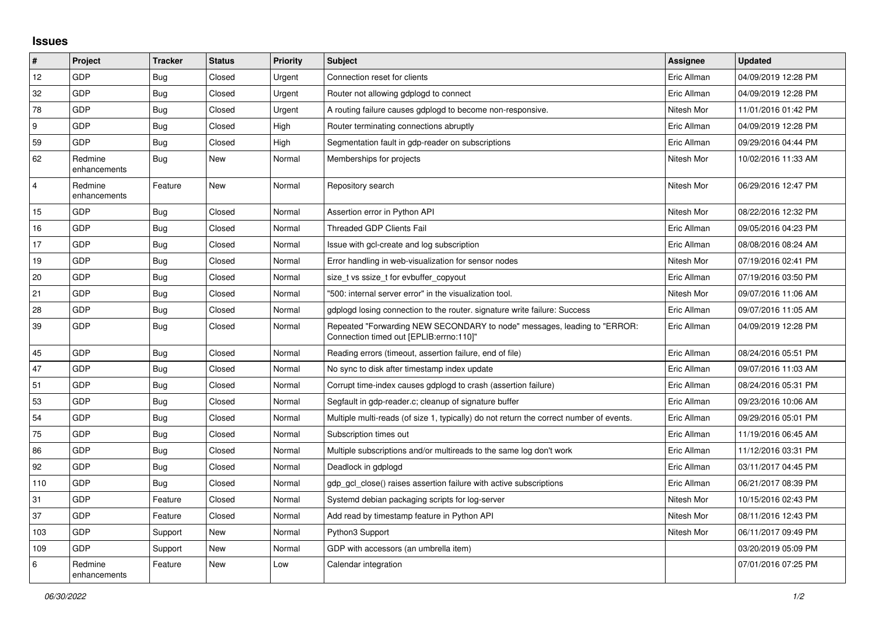## **Issues**

| $\vert$ #               | Project                 | <b>Tracker</b> | <b>Status</b> | <b>Priority</b> | <b>Subject</b>                                                                                                      | <b>Assignee</b> | <b>Updated</b>      |
|-------------------------|-------------------------|----------------|---------------|-----------------|---------------------------------------------------------------------------------------------------------------------|-----------------|---------------------|
| 12                      | GDP                     | <b>Bug</b>     | Closed        | Urgent          | Connection reset for clients                                                                                        | Eric Allman     | 04/09/2019 12:28 PM |
| 32                      | GDP                     | Bug            | Closed        | Urgent          | Router not allowing gdplogd to connect                                                                              | Eric Allman     | 04/09/2019 12:28 PM |
| 78                      | <b>GDP</b>              | Bug            | Closed        | Urgent          | A routing failure causes gdplogd to become non-responsive.                                                          | Nitesh Mor      | 11/01/2016 01:42 PM |
| 9                       | GDP                     | Bug            | Closed        | High            | Router terminating connections abruptly                                                                             | Eric Allman     | 04/09/2019 12:28 PM |
| 59                      | <b>GDP</b>              | Bug            | Closed        | High            | Segmentation fault in gdp-reader on subscriptions                                                                   | Eric Allman     | 09/29/2016 04:44 PM |
| 62                      | Redmine<br>enhancements | <b>Bug</b>     | New           | Normal          | Memberships for projects                                                                                            | Nitesh Mor      | 10/02/2016 11:33 AM |
| $\overline{\mathbf{4}}$ | Redmine<br>enhancements | Feature        | New           | Normal          | Repository search                                                                                                   | Nitesh Mor      | 06/29/2016 12:47 PM |
| 15                      | <b>GDP</b>              | Bug            | Closed        | Normal          | Assertion error in Python API                                                                                       | Nitesh Mor      | 08/22/2016 12:32 PM |
| 16                      | GDP                     | Bug            | Closed        | Normal          | <b>Threaded GDP Clients Fail</b>                                                                                    | Eric Allman     | 09/05/2016 04:23 PM |
| 17                      | <b>GDP</b>              | <b>Bug</b>     | Closed        | Normal          | Issue with gcl-create and log subscription                                                                          | Eric Allman     | 08/08/2016 08:24 AM |
| 19                      | GDP                     | Bug            | Closed        | Normal          | Error handling in web-visualization for sensor nodes                                                                | Nitesh Mor      | 07/19/2016 02:41 PM |
| 20                      | GDP                     | Bug            | Closed        | Normal          | size t vs ssize t for evbuffer copyout                                                                              | Eric Allman     | 07/19/2016 03:50 PM |
| 21                      | <b>GDP</b>              | <b>Bug</b>     | Closed        | Normal          | "500: internal server error" in the visualization tool.                                                             | Nitesh Mor      | 09/07/2016 11:06 AM |
| 28                      | GDP                     | Bug            | Closed        | Normal          | gdplogd losing connection to the router, signature write failure: Success                                           | Eric Allman     | 09/07/2016 11:05 AM |
| 39                      | <b>GDP</b>              | <b>Bug</b>     | Closed        | Normal          | Repeated "Forwarding NEW SECONDARY to node" messages, leading to "ERROR:<br>Connection timed out [EPLIB:errno:110]" | Eric Allman     | 04/09/2019 12:28 PM |
| 45                      | GDP                     | <b>Bug</b>     | Closed        | Normal          | Reading errors (timeout, assertion failure, end of file)                                                            | Eric Allman     | 08/24/2016 05:51 PM |
| 47                      | GDP                     | <b>Bug</b>     | Closed        | Normal          | No sync to disk after timestamp index update                                                                        | Eric Allman     | 09/07/2016 11:03 AM |
| 51                      | <b>GDP</b>              | <b>Bug</b>     | Closed        | Normal          | Corrupt time-index causes gdplogd to crash (assertion failure)                                                      | Eric Allman     | 08/24/2016 05:31 PM |
| 53                      | GDP                     | Bug            | Closed        | Normal          | Segfault in gdp-reader.c; cleanup of signature buffer                                                               | Eric Allman     | 09/23/2016 10:06 AM |
| 54                      | GDP                     | Bug            | Closed        | Normal          | Multiple multi-reads (of size 1, typically) do not return the correct number of events.                             | Eric Allman     | 09/29/2016 05:01 PM |
| 75                      | GDP                     | Bug            | Closed        | Normal          | Subscription times out                                                                                              | Eric Allman     | 11/19/2016 06:45 AM |
| 86                      | GDP                     | Bug            | Closed        | Normal          | Multiple subscriptions and/or multireads to the same log don't work                                                 | Eric Allman     | 11/12/2016 03:31 PM |
| 92                      | GDP                     | <b>Bug</b>     | Closed        | Normal          | Deadlock in gdplogd                                                                                                 | Eric Allman     | 03/11/2017 04:45 PM |
| 110                     | GDP                     | <b>Bug</b>     | Closed        | Normal          | gdp gcl close() raises assertion failure with active subscriptions                                                  | Eric Allman     | 06/21/2017 08:39 PM |
| 31                      | <b>GDP</b>              | Feature        | Closed        | Normal          | Systemd debian packaging scripts for log-server                                                                     | Nitesh Mor      | 10/15/2016 02:43 PM |
| 37                      | GDP                     | Feature        | Closed        | Normal          | Add read by timestamp feature in Python API                                                                         | Nitesh Mor      | 08/11/2016 12:43 PM |
| 103                     | GDP                     | Support        | New           | Normal          | Python3 Support                                                                                                     | Nitesh Mor      | 06/11/2017 09:49 PM |
| 109                     | <b>GDP</b>              | Support        | New           | Normal          | GDP with accessors (an umbrella item)                                                                               |                 | 03/20/2019 05:09 PM |
| 6                       | Redmine<br>enhancements | Feature        | New           | Low             | Calendar integration                                                                                                |                 | 07/01/2016 07:25 PM |